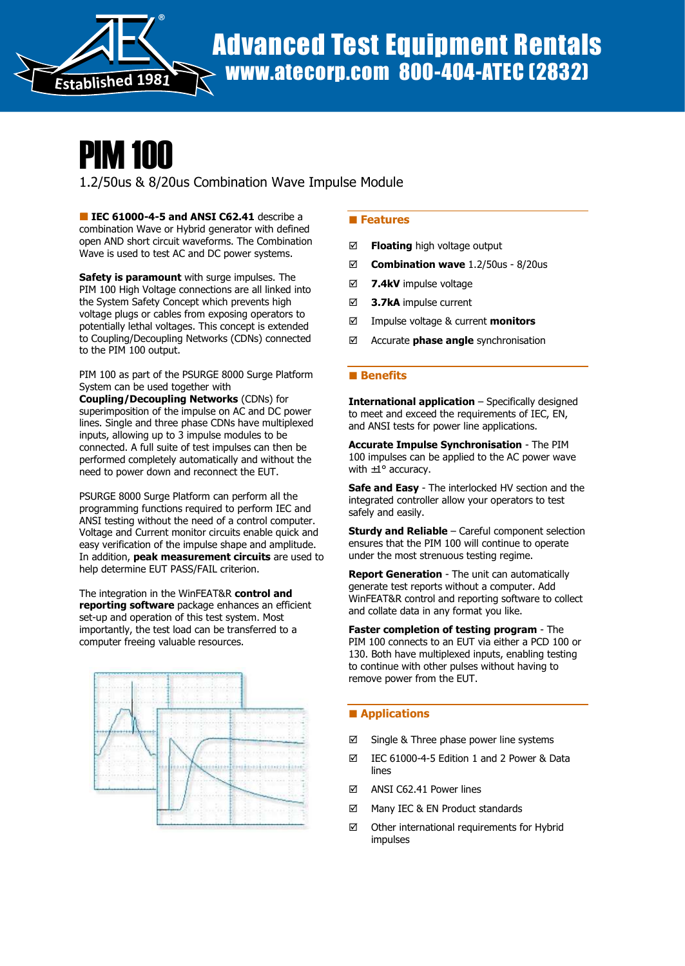

# PIM 100

1.2/50us & 8/20us Combination Wave Impulse Module

IEC 61000-4-5 and ANSI C62.41 describe a combination Wave or Hybrid generator with defined open AND short circuit waveforms. The Combination Wave is used to test AC and DC power systems.

Safety is paramount with surge impulses. The PIM 100 High Voltage connections are all linked into the System Safety Concept which prevents high voltage plugs or cables from exposing operators to potentially lethal voltages. This concept is extended to Coupling/Decoupling Networks (CDNs) connected to the PIM 100 output.

PIM 100 as part of the PSURGE 8000 Surge Platform System can be used together with

Coupling/Decoupling Networks (CDNs) for superimposition of the impulse on AC and DC power lines. Single and three phase CDNs have multiplexed inputs, allowing up to 3 impulse modules to be connected. A full suite of test impulses can then be performed completely automatically and without the need to power down and reconnect the EUT.

PSURGE 8000 Surge Platform can perform all the programming functions required to perform IEC and ANSI testing without the need of a control computer. Voltage and Current monitor circuits enable quick and easy verification of the impulse shape and amplitude. In addition, peak measurement circuits are used to help determine EUT PASS/FAIL criterion.

The integration in the WinFEAT&R control and reporting software package enhances an efficient set-up and operation of this test system. Most importantly, the test load can be transferred to a computer freeing valuable resources.



## **Features**

- $\boxtimes$  **Floating** high voltage output
- $\boxtimes$  Combination wave 1.2/50us 8/20us
- $\boxtimes$  7.4kV impulse voltage
- ⊠ 3.7kA impulse current
- $\boxtimes$  Impulse voltage & current **monitors**
- $\boxtimes$  Accurate **phase angle** synchronisation

#### **Benefits**

**International application**  $-$  Specifically designed to meet and exceed the requirements of IEC, EN, and ANSI tests for power line applications.

Accurate Impulse Synchronisation - The PIM 100 impulses can be applied to the AC power wave with  $\pm 1^{\circ}$  accuracy.

Safe and Easy - The interlocked HV section and the integrated controller allow your operators to test safely and easily.

**Sturdy and Reliable** – Careful component selection ensures that the PIM 100 will continue to operate under the most strenuous testing regime.

**Report Generation** - The unit can automatically generate test reports without a computer. Add WinFEAT&R control and reporting software to collect and collate data in any format you like.

Faster completion of testing program - The PIM 100 connects to an EUT via either a PCD 100 or 130. Both have multiplexed inputs, enabling testing to continue with other pulses without having to remove power from the EUT.

## **Applications**

- $\boxtimes$  Single & Three phase power line systems
- IEC 61000-4-5 Edition 1 and 2 Power & Data lines
- ANSI C62.41 Power lines
- $\boxtimes$  Many IEC & EN Product standards
- $\boxtimes$  Other international requirements for Hybrid impulses